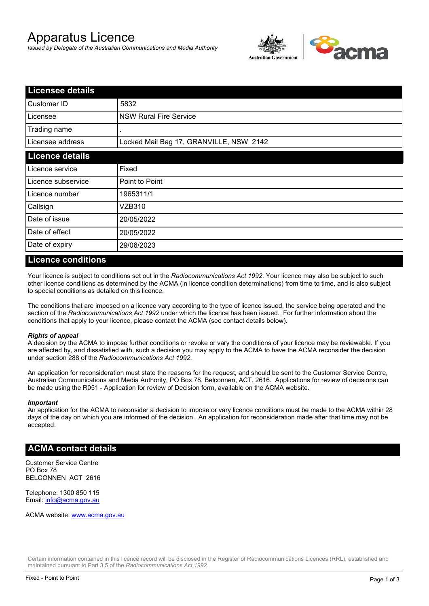# Apparatus Licence

*Issued by Delegate of the Australian Communications and Media Authority*



| <b>Licensee details</b> |                                         |  |
|-------------------------|-----------------------------------------|--|
| Customer ID             | 5832                                    |  |
| Licensee                | <b>NSW Rural Fire Service</b>           |  |
| Trading name            |                                         |  |
| Licensee address        | Locked Mail Bag 17, GRANVILLE, NSW 2142 |  |
| <b>Licence details</b>  |                                         |  |
| Licence service         | Fixed                                   |  |
| Licence subservice      | Point to Point                          |  |
| Licence number          | 1965311/1                               |  |
| Callsign                | VZB310                                  |  |
| Date of issue           | 20/05/2022                              |  |
| Date of effect          | 20/05/2022                              |  |
| Date of expiry          | 29/06/2023                              |  |

#### **Licence conditions**

Your licence is subject to conditions set out in the *Radiocommunications Act 1992*. Your licence may also be subject to such other licence conditions as determined by the ACMA (in licence condition determinations) from time to time, and is also subject to special conditions as detailed on this licence.

The conditions that are imposed on a licence vary according to the type of licence issued, the service being operated and the section of the *Radiocommunications Act 1992* under which the licence has been issued. For further information about the conditions that apply to your licence, please contact the ACMA (see contact details below).

#### *Rights of appeal*

A decision by the ACMA to impose further conditions or revoke or vary the conditions of your licence may be reviewable. If you are affected by, and dissatisfied with, such a decision you may apply to the ACMA to have the ACMA reconsider the decision under section 288 of the *Radiocommunications Act 1992*.

An application for reconsideration must state the reasons for the request, and should be sent to the Customer Service Centre, Australian Communications and Media Authority, PO Box 78, Belconnen, ACT, 2616. Applications for review of decisions can be made using the R051 - Application for review of Decision form, available on the ACMA website.

#### *Important*

An application for the ACMA to reconsider a decision to impose or vary licence conditions must be made to the ACMA within 28 days of the day on which you are informed of the decision. An application for reconsideration made after that time may not be accepted.

#### **ACMA contact details**

Customer Service Centre PO Box 78 BELCONNEN ACT 2616

Telephone: 1300 850 115 Email: info@acma.gov.au

ACMA website: www.acma.gov.au

Certain information contained in this licence record will be disclosed in the Register of Radiocommunications Licences (RRL), established and maintained pursuant to Part 3.5 of the *Radiocommunications Act 1992.*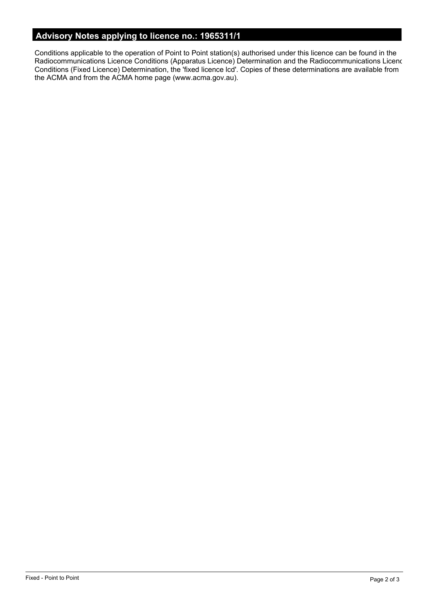# **Advisory Notes applying to licence no.: 1965311/1**

Conditions applicable to the operation of Point to Point station(s) authorised under this licence can be found in the Radiocommunications Licence Conditions (Apparatus Licence) Determination and the Radiocommunications Licence Conditions (Fixed Licence) Determination, the 'fixed licence lcd'. Copies of these determinations are available from the ACMA and from the ACMA home page (www.acma.gov.au).